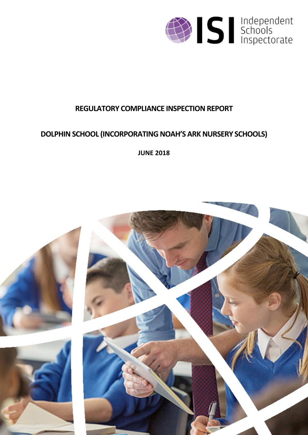

# **REGULATORY COMPLIANCE INSPECTION REPORT**

# **DOLPHIN SCHOOL (INCORPORATING NOAH'S ARK NURSERY SCHOOLS)**

**JUNE 2018**

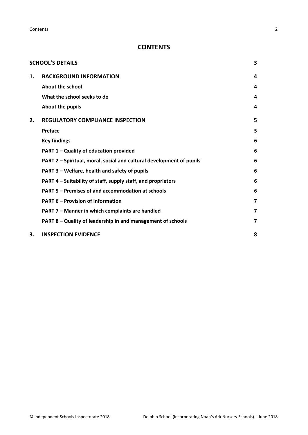**Contents** 2

# **CONTENTS**

|    | <b>SCHOOL'S DETAILS</b>                                              | 3 |
|----|----------------------------------------------------------------------|---|
| 1. | <b>BACKGROUND INFORMATION</b>                                        | 4 |
|    | About the school                                                     | 4 |
|    | What the school seeks to do                                          | 4 |
|    | About the pupils                                                     | 4 |
| 2. | <b>REGULATORY COMPLIANCE INSPECTION</b>                              | 5 |
|    | Preface                                                              | 5 |
|    | <b>Key findings</b>                                                  | 6 |
|    | PART 1 - Quality of education provided                               | 6 |
|    | PART 2 - Spiritual, moral, social and cultural development of pupils | 6 |
|    | PART 3 - Welfare, health and safety of pupils                        | 6 |
|    | PART 4 – Suitability of staff, supply staff, and proprietors         | 6 |
|    | PART 5 - Premises of and accommodation at schools                    | 6 |
|    | <b>PART 6 - Provision of information</b>                             | 7 |
|    | PART 7 - Manner in which complaints are handled                      | 7 |
|    | PART 8 - Quality of leadership in and management of schools          | 7 |
| З. | <b>INSPECTION EVIDENCE</b>                                           | 8 |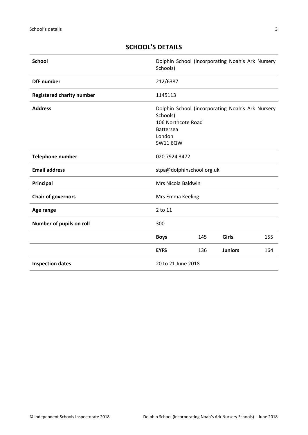| <b>School</b>                    | Schools)                                                                 |     | Dolphin School (incorporating Noah's Ark Nursery |     |
|----------------------------------|--------------------------------------------------------------------------|-----|--------------------------------------------------|-----|
| <b>DfE</b> number                | 212/6387                                                                 |     |                                                  |     |
| <b>Registered charity number</b> | 1145113                                                                  |     |                                                  |     |
| <b>Address</b>                   | Schools)<br>106 Northcote Road<br><b>Battersea</b><br>London<br>SW11 6QW |     | Dolphin School (incorporating Noah's Ark Nursery |     |
| Telephone number                 | 020 7924 3472                                                            |     |                                                  |     |
| <b>Email address</b>             | stpa@dolphinschool.org.uk                                                |     |                                                  |     |
| Principal                        | Mrs Nicola Baldwin                                                       |     |                                                  |     |
| <b>Chair of governors</b>        | Mrs Emma Keeling                                                         |     |                                                  |     |
| Age range                        | 2 to 11                                                                  |     |                                                  |     |
| Number of pupils on roll         | 300                                                                      |     |                                                  |     |
|                                  | <b>Boys</b>                                                              | 145 | Girls                                            | 155 |
|                                  | <b>EYFS</b>                                                              | 136 | <b>Juniors</b>                                   | 164 |
| <b>Inspection dates</b>          | 20 to 21 June 2018                                                       |     |                                                  |     |

# <span id="page-2-0"></span>**SCHOOL'S DETAILS**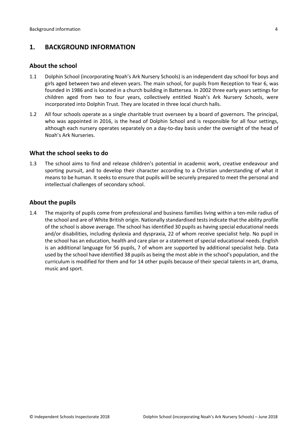# <span id="page-3-0"></span>**1. BACKGROUND INFORMATION**

#### <span id="page-3-1"></span>**About the school**

- 1.1 Dolphin School (incorporating Noah's Ark Nursery Schools) is an independent day school for boys and girls aged between two and eleven years. The main school, for pupils from Reception to Year 6, was founded in 1986 and is located in a church building in Battersea. In 2002 three early years settings for children aged from two to four years, collectively entitled Noah's Ark Nursery Schools, were incorporated into Dolphin Trust. They are located in three local church halls.
- 1.2 All four schools operate as a single charitable trust overseen by a board of governors. The principal, who was appointed in 2016, is the head of Dolphin School and is responsible for all four settings, although each nursery operates separately on a day-to-day basis under the oversight of the head of Noah's Ark Nurseries.

#### <span id="page-3-2"></span>**What the school seeks to do**

1.3 The school aims to find and release children's potential in academic work, creative endeavour and sporting pursuit, and to develop their character according to a Christian understanding of what it means to be human. It seeks to ensure that pupils will be securely prepared to meet the personal and intellectual challenges of secondary school.

### <span id="page-3-3"></span>**About the pupils**

1.4 The majority of pupils come from professional and business families living within a ten-mile radius of the school and are of White British origin. Nationally standardised tests indicate that the ability profile of the school is above average. The school has identified 30 pupils as having special educational needs and/or disabilities, including dyslexia and dyspraxia, 22 of whom receive specialist help. No pupil in the school has an education, health and care plan or a statement of special educational needs. English is an additional language for 56 pupils, 7 of whom are supported by additional specialist help. Data used by the school have identified 38 pupils as being the most able in the school's population, and the curriculum is modified for them and for 14 other pupils because of their special talents in art, drama, music and sport.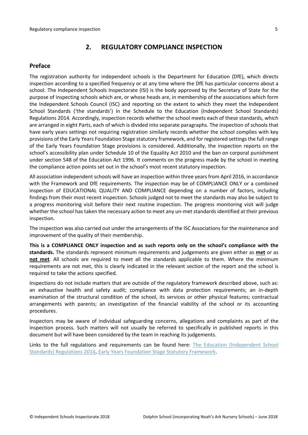## <span id="page-4-0"></span>**2. REGULATORY COMPLIANCE INSPECTION**

#### <span id="page-4-1"></span>**Preface**

The registration authority for independent schools is the Department for Education (DfE), which directs inspection according to a specified frequency or at any time where the DfE has particular concerns about a school. The Independent Schools Inspectorate (ISI) is the body approved by the Secretary of State for the purpose of inspecting schools which are, or whose heads are, in membership of the associations which form the Independent Schools Council (ISC) and reporting on the extent to which they meet the Independent School Standards ('the standards') in the Schedule to the Education (Independent School Standards) Regulations 2014. Accordingly, inspection records whether the school meets each of these standards, which are arranged in eight Parts, each of which is divided into separate paragraphs. The inspection of schools that have early years settings not requiring registration similarly records whether the school complies with key provisions of the Early Years Foundation Stage statutory framework, and for registered settings the full range of the Early Years Foundation Stage provisions is considered. Additionally, the inspection reports on the school's accessibility plan under Schedule 10 of the Equality Act 2010 and the ban on corporal punishment under section 548 of the Education Act 1996. It comments on the progress made by the school in meeting the compliance action points set out in the school's most recent statutory inspection.

All association independent schools will have an inspection within three yearsfrom April 2016, in accordance with the Framework and DfE requirements. The inspection may be of COMPLIANCE ONLY or a combined inspection of EDUCATIONAL QUALITY AND COMPLIANCE depending on a number of factors, including findings from their most recent inspection. Schools judged not to meet the standards may also be subject to a progress monitoring visit before their next routine inspection. The progress monitoring visit will judge whether the school has taken the necessary action to meet any un-met standards identified at their previous inspection.

The inspection was also carried out under the arrangements of the ISC Associations for the maintenance and improvement of the quality of their membership.

**This is a COMPLIANCE ONLY inspection and as such reports only on the school's compliance with the standards.** The standards represent minimum requirements and judgements are given either as **met** or as **not met**. All schools are required to meet all the standards applicable to them. Where the minimum requirements are not met, this is clearly indicated in the relevant section of the report and the school is required to take the actions specified.

Inspections do not include matters that are outside of the regulatory framework described above, such as: an exhaustive health and safety audit; compliance with data protection requirements; an in-depth examination of the structural condition of the school, its services or other physical features; contractual arrangements with parents; an investigation of the financial viability of the school or its accounting procedures.

Inspectors may be aware of individual safeguarding concerns, allegations and complaints as part of the inspection process. Such matters will not usually be referred to specifically in published reports in this document but will have been considered by the team in reaching its judgements.

Links to the full regulations and requirements can be found here: The Education (Independent School Standards) Regulations 2014, Early Years Foundation Stage Statutory Framework.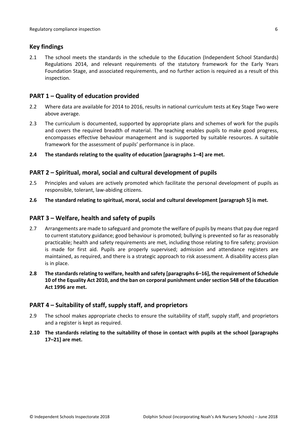## <span id="page-5-0"></span>**Key findings**

2.1 The school meets the standards in the schedule to the Education (Independent School Standards) Regulations 2014, and relevant requirements of the statutory framework for the Early Years Foundation Stage, and associated requirements, and no further action is required as a result of this inspection.

# <span id="page-5-1"></span>**PART 1 – Quality of education provided**

- 2.2 Where data are available for 2014 to 2016, results in national curriculum tests at Key Stage Two were above average.
- 2.3 The curriculum is documented, supported by appropriate plans and schemes of work for the pupils and covers the required breadth of material. The teaching enables pupils to make good progress, encompasses effective behaviour management and is supported by suitable resources. A suitable framework for the assessment of pupils' performance is in place.
- **2.4 The standards relating to the quality of education [paragraphs 1–4] are met.**

### <span id="page-5-2"></span>**PART 2 – Spiritual, moral, social and cultural development of pupils**

- 2.5 Principles and values are actively promoted which facilitate the personal development of pupils as responsible, tolerant, law-abiding citizens.
- **2.6 The standard relating to spiritual, moral, social and cultural development [paragraph 5] is met.**

### <span id="page-5-3"></span>**PART 3 – Welfare, health and safety of pupils**

- 2.7 Arrangements are made to safeguard and promote the welfare of pupils by means that pay due regard to current statutory guidance; good behaviour is promoted; bullying is prevented so far as reasonably practicable; health and safety requirements are met, including those relating to fire safety; provision is made for first aid. Pupils are properly supervised; admission and attendance registers are maintained, as required, and there is a strategic approach to risk assessment. A disability access plan is in place.
- **2.8 The standardsrelating to welfare, health and safety [paragraphs 6–16], the requirement of Schedule 10 of the Equality Act 2010, and the ban on corporal punishment undersection 548 of the Education Act 1996 are met.**

### <span id="page-5-4"></span>**PART 4 – Suitability of staff, supply staff, and proprietors**

- 2.9 The school makes appropriate checks to ensure the suitability of staff, supply staff, and proprietors and a register is kept as required.
- **2.10 The standards relating to the suitability of those in contact with pupils at the school [paragraphs 17–21] are met.**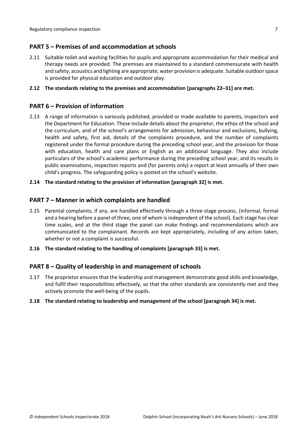# <span id="page-6-0"></span>**PART 5 – Premises of and accommodation at schools**

2.11 Suitable toilet and washing facilities for pupils and appropriate accommodation for their medical and therapy needs are provided. The premises are maintained to a standard commensurate with health and safety; acoustics and lighting are appropriate; water provision is adequate. Suitable outdoorspace is provided for physical education and outdoor play.

#### **2.12 The standards relating to the premises and accommodation [paragraphs 22–31] are met.**

## <span id="page-6-1"></span>**PART 6 – Provision of information**

2.13 A range of information is variously published, provided or made available to parents, inspectors and the Department for Education. These include details about the proprietor, the ethos of the school and the curriculum, and of the school's arrangements for admission, behaviour and exclusions, bullying, health and safety, first aid, details of the complaints procedure, and the number of complaints registered under the formal procedure during the preceding school year, and the provision for those with education, health and care plans or English as an additional language. They also include particulars of the school's academic performance during the preceding school year, and its results in public examinations, inspection reports and (for parents only) a report at least annually of their own child's progress. The safeguarding policy is posted on the school's website.

#### **2.14 The standard relating to the provision of information [paragraph 32] is met.**

### <span id="page-6-2"></span>**PART 7 – Manner in which complaints are handled**

- 2.15 Parental complaints, if any, are handled effectively through a three-stage process, (informal, formal and a hearing before a panel of three, one of whom is independent of the school). Each stage has clear time scales, and at the third stage the panel can make findings and recommendations which are communicated to the complainant. Records are kept appropriately, including of any action taken, whether or not a complaint is successful.
- **2.16 The standard relating to the handling of complaints [paragraph 33] is met.**

### <span id="page-6-3"></span>**PART 8 – Quality of leadership in and management of schools**

2.17 The proprietor ensures that the leadership and management demonstrate good skills and knowledge, and fulfil their responsibilities effectively, so that the other standards are consistently met and they actively promote the well-being of the pupils.

#### **2.18 The standard relating to leadership and management of the school [paragraph 34] is met.**